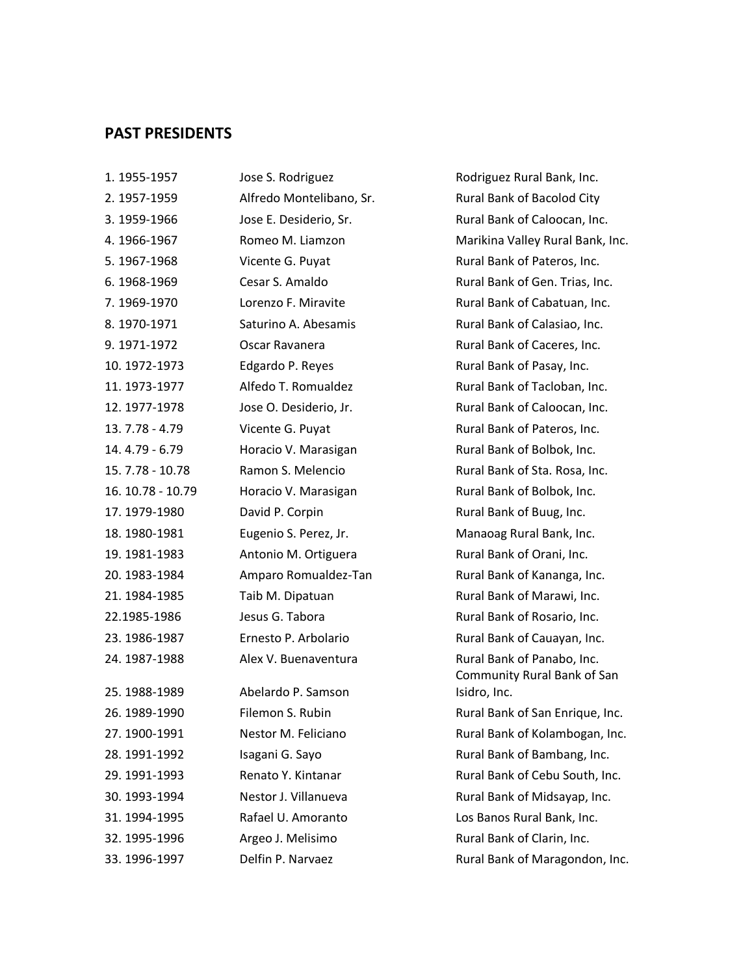## **PAST PRESIDENTS**

| 1. 1955-1957      | Jose S. Rodriguez       |  |
|-------------------|-------------------------|--|
| 2. 1957-1959      | Alfredo Montelibano, Sr |  |
| 3. 1959-1966      | Jose E. Desiderio, Sr.  |  |
| 4.1966-1967       | Romeo M. Liamzon        |  |
| 5. 1967-1968      | Vicente G. Puyat        |  |
| 6.1968-1969       | Cesar S. Amaldo         |  |
| 7.1969-1970       | Lorenzo F. Miravite     |  |
| 8.1970-1971       | Saturino A. Abesamis    |  |
| 9. 1971-1972      | Oscar Ravanera          |  |
| 10. 1972-1973     | Edgardo P. Reyes        |  |
| 11.1973-1977      | Alfedo T. Romualdez     |  |
| 12.1977-1978      | Jose O. Desiderio, Jr.  |  |
| 13.7.78 - 4.79    | Vicente G. Puyat        |  |
| 14.4.79 - 6.79    | Horacio V. Marasigan    |  |
| 15.7.78 - 10.78   | Ramon S. Melencio       |  |
| 16. 10.78 - 10.79 | Horacio V. Marasigan    |  |
| 17.1979-1980      | David P. Corpin         |  |
| 18.1980-1981      | Eugenio S. Perez, Jr.   |  |
| 19. 1981-1983     | Antonio M. Ortiguera    |  |
| 20. 1983-1984     | Amparo Romualdez-Tan    |  |
| 21.1984-1985      | Taib M. Dipatuan        |  |
| 22.1985-1986      | Jesus G. Tabora         |  |
| 23. 1986-1987     | Ernesto P. Arbolario    |  |
| 24.1987-1988      | Alex V. Buenaventura    |  |
| 25.1988-1989      | Abelardo P. Samson      |  |
| 26.1989-1990      | Filemon S. Rubin        |  |
| 27.1900-1991      | Nestor M. Feliciano     |  |
| 28. 1991-1992     | Isagani G. Sayo         |  |
| 29. 1991-1993     | Renato Y. Kintanar      |  |
| 30. 1993-1994     | Nestor J. Villanueva    |  |
| 31.1994-1995      | Rafael U. Amoranto      |  |
| 32. 1995-1996     | Argeo J. Melisimo       |  |
| 33.1996-1997      | Delfin P. Narvaez       |  |

Rodriguez Rural Bank, Inc. Rural Bank of Bacolod City Rural Bank of Caloocan, Inc. Marikina Valley Rural Bank, Inc. Rural Bank of Pateros, Inc. Rural Bank of Gen. Trias, Inc. Rural Bank of Cabatuan, Inc. Rural Bank of Calasiao, Inc. Rural Bank of Caceres, Inc. Rural Bank of Pasay, Inc. Rural Bank of Tacloban, Inc. Rural Bank of Caloocan, Inc. Rural Bank of Pateros, Inc. Rural Bank of Bolbok, Inc. Rural Bank of Sta. Rosa, Inc. Rural Bank of Bolbok, Inc. Rural Bank of Buug, Inc. Manaoag Rural Bank, Inc. Rural Bank of Orani, Inc. Rural Bank of Kananga, Inc. Rural Bank of Marawi, Inc. Rural Bank of Rosario, Inc. Rural Bank of Cauayan, Inc. Rural Bank of Panabo, Inc. Community Rural Bank of San Isidro, Inc. Rural Bank of San Enrique, Inc. Rural Bank of Kolambogan, Inc. Rural Bank of Bambang, Inc. Rural Bank of Cebu South, Inc. Rural Bank of Midsayap, Inc. Los Banos Rural Bank, Inc. Rural Bank of Clarin, Inc.

Rural Bank of Maragondon, Inc.